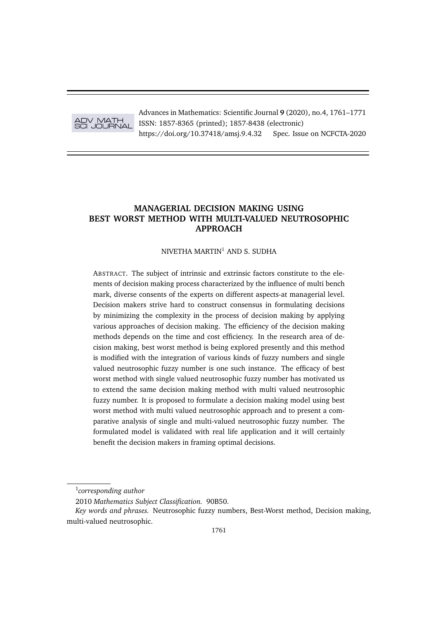

Advances in Mathematics: Scientific Journal **9** (2020), no.4, 1761–1771 ISSN: 1857-8365 (printed); 1857-8438 (electronic) https://doi.org/10.37418/amsj.9.4.32 Spec. Issue on NCFCTA-2020

# **MANAGERIAL DECISION MAKING USING BEST WORST METHOD WITH MULTI-VALUED NEUTROSOPHIC APPROACH**

# NIVETHA MARTIN<sup>1</sup> AND S. SUDHA

ABSTRACT. The subject of intrinsic and extrinsic factors constitute to the elements of decision making process characterized by the influence of multi bench mark, diverse consents of the experts on different aspects-at managerial level. Decision makers strive hard to construct consensus in formulating decisions by minimizing the complexity in the process of decision making by applying various approaches of decision making. The efficiency of the decision making methods depends on the time and cost efficiency. In the research area of decision making, best worst method is being explored presently and this method is modified with the integration of various kinds of fuzzy numbers and single valued neutrosophic fuzzy number is one such instance. The efficacy of best worst method with single valued neutrosophic fuzzy number has motivated us to extend the same decision making method with multi valued neutrosophic fuzzy number. It is proposed to formulate a decision making model using best worst method with multi valued neutrosophic approach and to present a comparative analysis of single and multi-valued neutrosophic fuzzy number. The formulated model is validated with real life application and it will certainly benefit the decision makers in framing optimal decisions.

<sup>1</sup> *corresponding author*

<sup>2010</sup> *Mathematics Subject Classification.* 90B50.

*Key words and phrases.* Neutrosophic fuzzy numbers, Best-Worst method, Decision making, multi-valued neutrosophic.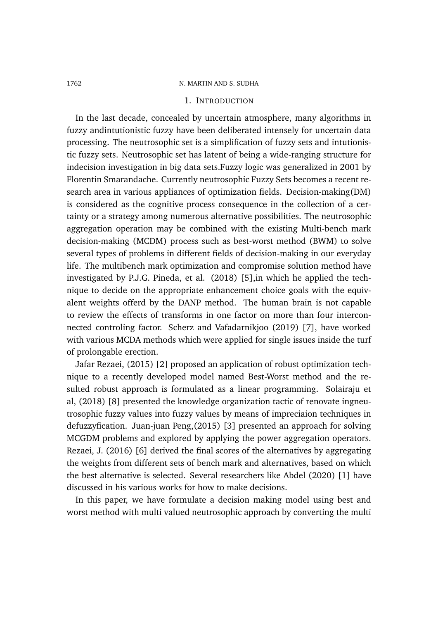## 1. INTRODUCTION

In the last decade, concealed by uncertain atmosphere, many algorithms in fuzzy andintutionistic fuzzy have been deliberated intensely for uncertain data processing. The neutrosophic set is a simplification of fuzzy sets and intutionistic fuzzy sets. Neutrosophic set has latent of being a wide-ranging structure for indecision investigation in big data sets.Fuzzy logic was generalized in 2001 by Florentin Smarandache. Currently neutrosophic Fuzzy Sets becomes a recent research area in various appliances of optimization fields. Decision-making(DM) is considered as the cognitive process consequence in the collection of a certainty or a strategy among numerous alternative possibilities. The neutrosophic aggregation operation may be combined with the existing Multi-bench mark decision-making (MCDM) process such as best-worst method (BWM) to solve several types of problems in different fields of decision-making in our everyday life. The multibench mark optimization and compromise solution method have investigated by P.J.G. Pineda, et al. (2018) [5],in which he applied the technique to decide on the appropriate enhancement choice goals with the equivalent weights offerd by the DANP method. The human brain is not capable to review the effects of transforms in one factor on more than four interconnected controling factor. Scherz and Vafadarnikjoo (2019) [7], have worked with various MCDA methods which were applied for single issues inside the turf of prolongable erection.

Jafar Rezaei, (2015) [2] proposed an application of robust optimization technique to a recently developed model named Best-Worst method and the resulted robust approach is formulated as a linear programming. Solairaju et al, (2018) [8] presented the knowledge organization tactic of renovate ingneutrosophic fuzzy values into fuzzy values by means of impreciaion techniques in defuzzyfication. Juan-juan Peng,(2015) [3] presented an approach for solving MCGDM problems and explored by applying the power aggregation operators. Rezaei, J. (2016) [6] derived the final scores of the alternatives by aggregating the weights from different sets of bench mark and alternatives, based on which the best alternative is selected. Several researchers like Abdel (2020) [1] have discussed in his various works for how to make decisions.

In this paper, we have formulate a decision making model using best and worst method with multi valued neutrosophic approach by converting the multi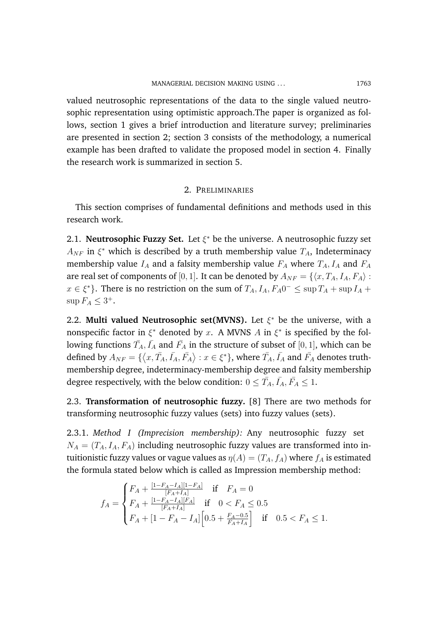valued neutrosophic representations of the data to the single valued neutrosophic representation using optimistic approach.The paper is organized as follows, section 1 gives a brief introduction and literature survey; preliminaries are presented in section 2; section 3 consists of the methodology, a numerical example has been drafted to validate the proposed model in section 4. Finally the research work is summarized in section 5.

## 2. PRELIMINARIES

This section comprises of fundamental definitions and methods used in this research work.

2.1. **Neutrosophic Fuzzy Set.** Let  $\xi^*$  be the universe. A neutrosophic fuzzy set  $A_{NF}$  in  $\xi^*$  which is described by a truth membership value  $T_A$ , Indeterminacy membership value  $I_A$  and a falsity membership value  $F_A$  where  $T_A$ ,  $I_A$  and  $F_A$ are real set of components of [0, 1]. It can be denoted by  $A_{NF} = \{ \langle x, T_A, I_A, F_A \rangle :$  $x \in \xi^*$ . There is no restriction on the sum of  $T_A, I_A, F_A 0^- \leq \sup T_A + \sup I_A +$  $\sup F_A \leq 3^+$ .

2.2. Multi valued Neutrosophic set(MVNS). Let  $\xi^*$  be the universe, with a nonspecific factor in  $\xi^*$  denoted by x. A MVNS A in  $\xi^*$  is specified by the following functions  $\bar{T}_A, \bar{I_A}$  and  $\bar{F_A}$  in the structure of subset of  $[0,1]$ , which can be defined by  $A_{NF}=\{\big\langle x,\bar{T_A},\bar{I_A},\bar{F_A}\big\rangle:x\in\xi^*\}$ , where  $\bar{T_A},\bar{I_A}$  and  $\bar{F_A}$  denotes truthmembership degree, indeterminacy-membership degree and falsity membership degree respectively, with the below condition:  $0 \leq \bar{T}_A, \bar{I}_A, \bar{F}_A \leq 1$ .

2.3. **Transformation of neutrosophic fuzzy.** [8] There are two methods for transforming neutrosophic fuzzy values (sets) into fuzzy values (sets).

2.3.1. *Method I (Imprecision membership):* Any neutrosophic fuzzy set  $N_A = (T_A, I_A, F_A)$  including neutrosophic fuzzy values are transformed into intuitionistic fuzzy values or vague values as  $\eta(A) = (T_A, f_A)$  where  $f_A$  is estimated the formula stated below which is called as Impression membership method:

$$
f_A = \begin{cases} F_A + \frac{[1 - F_A - I_A][1 - F_A]}{[F_A + I_A]} & \text{if} \quad F_A = 0\\ F_A + \frac{[1 - F_A - I_A][F_A]}{[F_A + I_A]} & \text{if} \quad 0 < F_A \le 0.5\\ F_A + [1 - F_A - I_A] \left[ 0.5 + \frac{F_A - 0.5}{F_A + I_A} \right] & \text{if} \quad 0.5 < F_A \le 1. \end{cases}
$$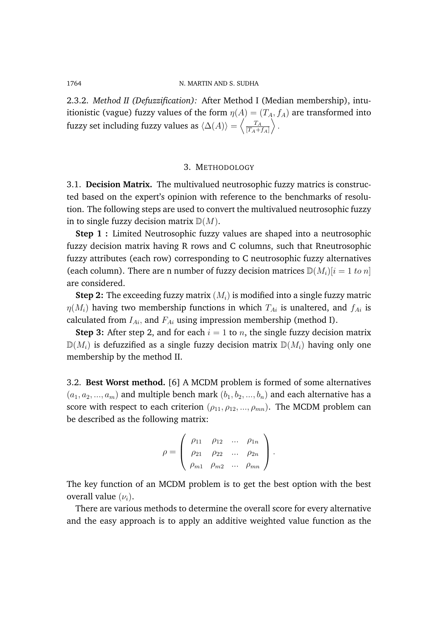2.3.2. *Method II (Defuzzification):* After Method I (Median membership), intuitionistic (vague) fuzzy values of the form  $\eta(A) = (T_A, f_A)$  are transformed into fuzzy set including fuzzy values as  $\langle \Delta(A) \rangle = \left\langle \frac{T_A}{|T_A|}\right\rangle$  $[T_A+f_A]$  $\Bigr\rangle$  .

### 3. METHODOLOGY

3.1. **Decision Matrix.** The multivalued neutrosophic fuzzy matrics is constructed based on the expert's opinion with reference to the benchmarks of resolution. The following steps are used to convert the multivalued neutrosophic fuzzy in to single fuzzy decision matrix  $\mathbb{D}(M)$ .

**Step 1 :** Limited Neutrosophic fuzzy values are shaped into a neutrosophic fuzzy decision matrix having R rows and C columns, such that Rneutrosophic fuzzy attributes (each row) corresponding to C neutrosophic fuzzy alternatives (each column). There are n number of fuzzy decision matrices  $\mathbb{D}(M_i)[i = 1 \text{ to } n]$ are considered.

**Step 2:** The exceeding fuzzy matrix  $(M_i)$  is modified into a single fuzzy matric  $\eta(M_i)$  having two membership functions in which  $T_{Ai}$  is unaltered, and  $f_{Ai}$  is calculated from  $I_{Ai}$ , and  $F_{Ai}$  using impression membership (method I).

**Step 3:** After step 2, and for each  $i = 1$  to n, the single fuzzy decision matrix  $\mathbb{D}(M_i)$  is defuzzified as a single fuzzy decision matrix  $\mathbb{D}(M_i)$  having only one membership by the method II.

3.2. **Best Worst method.** [6] A MCDM problem is formed of some alternatives  $(a_1, a_2, ..., a_m)$  and multiple bench mark  $(b_1, b_2, ..., b_n)$  and each alternative has a score with respect to each criterion  $(\rho_{11}, \rho_{12}, ..., \rho_{mn})$ . The MCDM problem can be described as the following matrix:

$$
\rho = \begin{pmatrix} \rho_{11} & \rho_{12} & \dots & \rho_{1n} \\ \rho_{21} & \rho_{22} & \dots & \rho_{2n} \\ \rho_{m1} & \rho_{m2} & \dots & \rho_{mn} \end{pmatrix}.
$$

The key function of an MCDM problem is to get the best option with the best overall value  $(\nu_i)$ .

There are various methods to determine the overall score for every alternative and the easy approach is to apply an additive weighted value function as the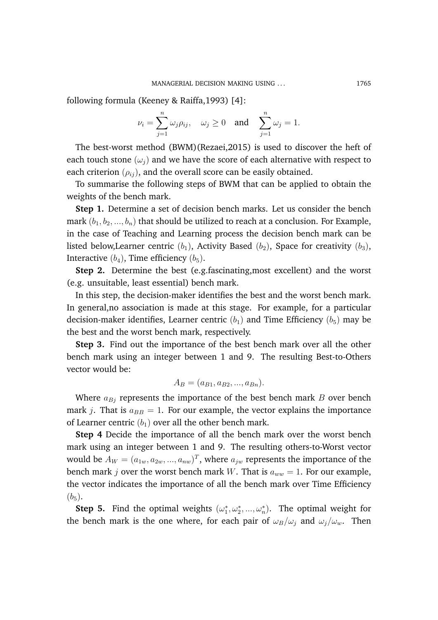following formula (Keeney & Raiffa,1993) [4]:

$$
\nu_i = \sum_{j=1}^n \omega_j \rho_{ij}, \quad \omega_j \ge 0 \quad \text{and} \quad \sum_{j=1}^n \omega_j = 1.
$$

The best-worst method (BWM)(Rezaei,2015) is used to discover the heft of each touch stone  $(\omega_i)$  and we have the score of each alternative with respect to each criterion  $(\rho_{ij})$ , and the overall score can be easily obtained.

To summarise the following steps of BWM that can be applied to obtain the weights of the bench mark.

**Step 1.** Determine a set of decision bench marks. Let us consider the bench mark  $(b_1, b_2, ..., b_n)$  that should be utilized to reach at a conclusion. For Example, in the case of Teaching and Learning process the decision bench mark can be listed below, Learner centric  $(b_1)$ , Activity Based  $(b_2)$ , Space for creativity  $(b_3)$ , Interactive  $(b_4)$ , Time efficiency  $(b_5)$ .

**Step 2.** Determine the best (e.g.fascinating,most excellent) and the worst (e.g. unsuitable, least essential) bench mark.

In this step, the decision-maker identifies the best and the worst bench mark. In general,no association is made at this stage. For example, for a particular decision-maker identifies, Learner centric  $(b_1)$  and Time Efficiency  $(b_5)$  may be the best and the worst bench mark, respectively.

**Step 3.** Find out the importance of the best bench mark over all the other bench mark using an integer between 1 and 9. The resulting Best-to-Others vector would be:

$$
A_B = (a_{B1}, a_{B2}, ..., a_{Bn}).
$$

Where  $a_{Bj}$  represents the importance of the best bench mark B over bench mark j. That is  $a_{BB} = 1$ . For our example, the vector explains the importance of Learner centric  $(b_1)$  over all the other bench mark.

**Step 4** Decide the importance of all the bench mark over the worst bench mark using an integer between 1 and 9. The resulting others-to-Worst vector would be  $A_W = (a_{1w}, a_{2w}, ..., a_{nw})^T$ , where  $a_{jw}$  represents the importance of the bench mark j over the worst bench mark W. That is  $a_{ww} = 1$ . For our example, the vector indicates the importance of all the bench mark over Time Efficiency  $(b_5)$ .

**Step 5.** Find the optimal weights  $(\omega_1^*, \omega_2^*, ..., \omega_n^*)$ . The optimal weight for the bench mark is the one where, for each pair of  $\omega_B/\omega_i$  and  $\omega_i/\omega_w$ . Then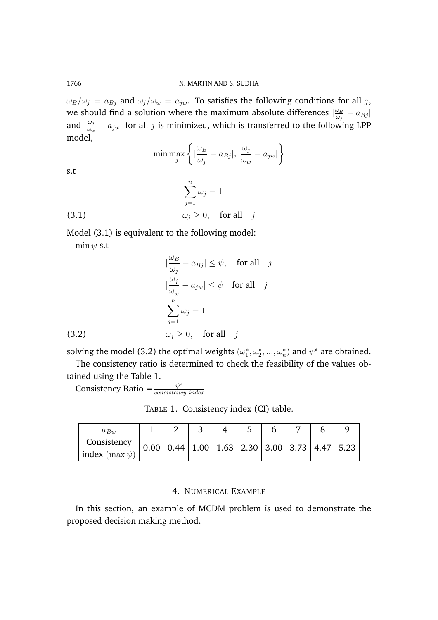$\omega_B/\omega_j = a_{Bj}$  and  $\omega_j/\omega_w = a_{jw}$ . To satisfies the following conditions for all j, we should find a solution where the maximum absolute differences  $\frac{\omega_B}{\omega_B}$  $\frac{\omega_B}{\omega_j}-a_{Bj}$ and  $\frac{\omega_j}{\omega}$  $\frac{\omega_j}{\omega_w} - a_{jw}|$  for all  $j$  is minimized, which is transferred to the following LPP model,

$$
\min \max_{j} \left\{ \left| \frac{\omega_B}{\omega_j} - a_{Bj} \right|, \left| \frac{\omega_j}{\omega_w} - a_{jw} \right| \right\}
$$

s.t

(3.1) 
$$
\sum_{j=1}^{n} \omega_j = 1
$$

$$
\omega_j \ge 0, \quad \text{for all} \quad j
$$

Model (3.1) is equivalent to the following model:  $\min \psi$  s.t

(3.2)  
\n
$$
|\frac{\omega_B}{\omega_j} - a_{Bj}| \leq \psi, \text{ for all } j
$$
\n
$$
|\frac{\omega_j}{\omega_w} - a_{jw}| \leq \psi \text{ for all } j
$$
\n
$$
\sum_{j=1}^n \omega_j = 1
$$
\n
$$
\omega_j \geq 0, \text{ for all } j
$$

solving the model (3.2) the optimal weights  $(\omega_1^*, \omega_2^*, ..., \omega_n^*)$  and  $\psi^*$  are obtained.

The consistency ratio is determined to check the feasibility of the values obtained using the Table 1.

Consistency Ratio =  $\frac{\psi^*}{\cos{istenc}}$ consistency index

TABLE 1. Consistency index (CI) table.

| $a_{Bw}$              |  |  |                                                                                             |  |  |
|-----------------------|--|--|---------------------------------------------------------------------------------------------|--|--|
| Consistency           |  |  | $0.00 \mid 0.44 \mid 1.00 \mid 1.63 \mid 2.30 \mid 3.00 \mid 3.73 \mid 4.47 \mid 5.23 \mid$ |  |  |
| index ( $\max \psi$ ) |  |  |                                                                                             |  |  |

# 4. NUMERICAL EXAMPLE

In this section, an example of MCDM problem is used to demonstrate the proposed decision making method.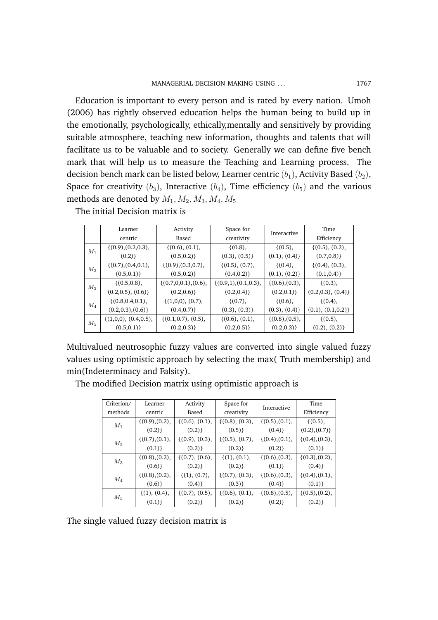Education is important to every person and is rated by every nation. Umoh (2006) has rightly observed education helps the human being to build up in the emotionally, psychologically, ethically,mentally and sensitively by providing suitable atmosphere, teaching new information, thoughts and talents that will facilitate us to be valuable and to society. Generally we can define five bench mark that will help us to measure the Teaching and Learning process. The decision bench mark can be listed below, Learner centric  $(b_1)$ , Activity Based  $(b_2)$ , Space for creativity  $(b_3)$ , Interactive  $(b_4)$ , Time efficiency  $(b_5)$  and the various methods are denoted by  $M_1, M_2, M_3, M_4, M_5$ 

|       | Learner                 | Activity                | Space for               | Interactive       | Time              |
|-------|-------------------------|-------------------------|-------------------------|-------------------|-------------------|
|       | centric                 | Based                   | creativity              |                   | Efficiency        |
| $M_1$ | $\{(0.9), (0.2, 0.3),$  | $\{(0.6), (0.1),$       | $\{(0.8),\$             | $\{(0.5),\}$      | $\{(0.5), (0.2),$ |
|       | (0.2)                   | (0.5, 0.2)              | (0.3), (0.5)            | (0.1), (0.4)      | (0.7, 0.8)        |
| $M_2$ | $\{(0.7), (0.4, 0.1),$  | $\{(0.9), (0.3, 0.7),$  | $\{(0.5), (0.7),$       | $\{(0.4),\}$      | $\{(0.4), (0.3),$ |
|       | (0.5, 0.1)              | (0.5, 0.2)              | (0.4, 0.2)              | (0.1), (0.2)      | (0.1, 0.4)        |
|       | $\{(0.5, 0.8),\}$       | $\{(0.7,0,0.1), (0.6),$ | $\{(0.9,1), (0.1,0.3),$ | $\{(0.6), (0.3),$ | $\{(0.3),\}$      |
| $M_3$ | (0.2, 0.5), (0.6)       | (0.2, 0.6)              | (0.2, 0.4)              | (0.2, 0.1)        | (0.2, 0.3), (0.4) |
| $M_4$ | $\{(0.8, 0.4, 0.1),\}$  | $\{(1,0,0), (0.7),$     | $\{(0.7),\}$            | $\{(0.6),\$       | ${(0.4),$         |
|       | (0.2, 0.3), (0.6)       | (0.4, 0.7)              | $(0.3), (0.3)\}$        | (0.3), (0.4)      | (0.1), (0.1, 0.2) |
| $M_5$ | $\{(1,0,0), (0.4,0.5),$ | $\{(0.1, 0.7), (0.5),$  | $\{(0.6), (0.1),$       | $\{(0.8), (0.5),$ | $\{(0.5),\}$      |
|       | (0.5, 0.1)              | (0.2, 0.3)              | (0.2, 0.5)              | (0.2, 0.3)        | (0.2), (0.2)      |

The initial Decision matrix is

Multivalued neutrosophic fuzzy values are converted into single valued fuzzy values using optimistic approach by selecting the max( Truth membership) and min(Indeterminacy and Falsity).

| Criterion/ | Learner           | Activity          | Space for         | Interactive       | Time              |
|------------|-------------------|-------------------|-------------------|-------------------|-------------------|
| methods    | centric           | Based             | creativity        |                   | Efficiency        |
| $M_1$      | $\{(0.9), (0.2),$ | $\{(0.6), (0.1),$ | $\{(0.8), (0.3),$ | $\{(0.5), (0.1),$ | $\{(0.5),\}$      |
|            | (0.2)             | (0.2)             | (0.5)             | (0.4)             | (0.2), (0.7)      |
| $M_2$      | $\{(0.7), (0.1),$ | $\{(0.9), (0.3),$ | $\{(0.5), (0.7),$ | $\{(0.4), (0.1),$ | $\{(0.4), (0.3),$ |
|            | (0.1)             | (0.2)             | (0.2)             | (0.2)             | (0.1)             |
| $M_3$      | $\{(0.8), (0.2),$ | $\{(0.7), (0.6),$ | $\{(1), (0.1),$   | $\{(0.6), (0.3),$ | $\{(0.3), (0.2),$ |
|            | (0.6)             | (0.2)             | (0.2)             | (0.1)             | (0.4)             |
|            | $\{(0.8), (0.2),$ | $\{(1), (0.7),$   | $\{(0.7), (0.3),$ | $\{(0.6), (0.3),$ | $\{(0.4), (0.1),$ |
| $M_{4}$    | (0.6)             | (0.4)             | (0.3)             | (0.4)             | (0.1)             |
| $M_5$      | $\{(1), (0.4),$   | $\{(0.7), (0.5),$ | $\{(0.6), (0.1),$ | $\{(0.8), (0.5),$ | $\{(0.5), (0.2),$ |
|            | (0.1)             | (0.2)             | (0.2)             | (0.2)             | (0.2)             |

The modified Decision matrix using optimistic approach is

The single valued fuzzy decision matrix is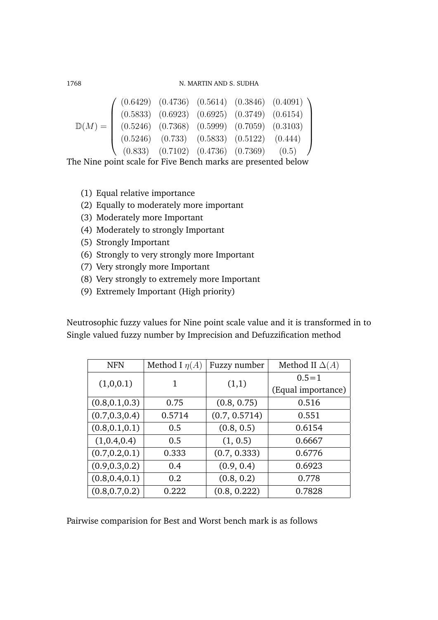$$
\mathbb{D}(M) = \begin{pmatrix}\n(0.6429) & (0.4736) & (0.5614) & (0.3846) & (0.4091) \\
(0.5833) & (0.6923) & (0.6925) & (0.3749) & (0.6154) \\
(0.5246) & (0.7368) & (0.5999) & (0.7059) & (0.3103) \\
(0.5246) & (0.733) & (0.5833) & (0.5122) & (0.444) \\
(0.833) & (0.7102) & (0.4736) & (0.7369) & (0.5)\n\end{pmatrix}
$$

The Nine point scale for Five Bench marks are presented below

- (1) Equal relative importance
- (2) Equally to moderately more important
- (3) Moderately more Important
- (4) Moderately to strongly Important
- (5) Strongly Important
- (6) Strongly to very strongly more Important
- (7) Very strongly more Important
- (8) Very strongly to extremely more Important
- (9) Extremely Important (High priority)

Neutrosophic fuzzy values for Nine point scale value and it is transformed in to Single valued fuzzy number by Imprecision and Defuzzification method

| <b>NFN</b>      | Method I $\eta(A)$ | Fuzzy number  | Method II $\Delta(A)$ |
|-----------------|--------------------|---------------|-----------------------|
| (1,0,0.1)       | 1                  | (1,1)         | $0.5 = 1$             |
|                 |                    |               | (Equal importance)    |
| (0.8, 0.1, 0.3) | 0.75               | (0.8, 0.75)   | 0.516                 |
| (0.7, 0.3, 0.4) | 0.5714             | (0.7, 0.5714) | 0.551                 |
| (0.8, 0.1, 0.1) | 0.5                | (0.8, 0.5)    | 0.6154                |
| (1,0.4,0.4)     | 0.5                | (1, 0.5)      | 0.6667                |
| (0.7, 0.2, 0.1) | 0.333              | (0.7, 0.333)  | 0.6776                |
| (0.9, 0.3, 0.2) | 0.4                | (0.9, 0.4)    | 0.6923                |
| (0.8, 0.4, 0.1) | 0.2                | (0.8, 0.2)    | 0.778                 |
| (0.8, 0.7, 0.2) | 0.222              | (0.8, 0.222)  | 0.7828                |

Pairwise comparision for Best and Worst bench mark is as follows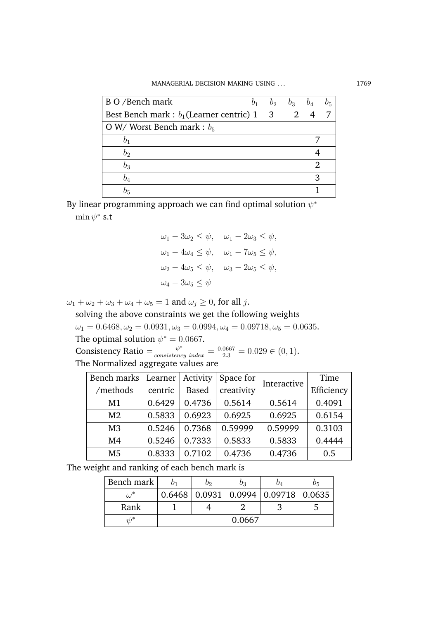| B O /Bench mark                                 | $b_1$ | $b_2 \quad b_3$ | $b_4$ | $v_5$ |
|-------------------------------------------------|-------|-----------------|-------|-------|
| Best Bench mark : $b_1$ (Learner centric) 1 3 2 |       |                 |       | 7     |
| O W/Worst Bench mark : $b_5$                    |       |                 |       |       |
|                                                 |       |                 |       |       |
| $b_2$                                           |       |                 |       |       |
| $b_3$                                           |       |                 |       |       |
|                                                 |       |                 |       |       |
|                                                 |       |                 |       |       |

By linear programming approach we can find optimal solution  $\psi^*$  $\min \psi^*$  s.t

$$
\omega_1 - 3\omega_2 \leq \psi, \quad \omega_1 - 2\omega_3 \leq \psi,
$$
  

$$
\omega_1 - 4\omega_4 \leq \psi, \quad \omega_1 - 7\omega_5 \leq \psi,
$$
  

$$
\omega_2 - 4\omega_5 \leq \psi, \quad \omega_3 - 2\omega_5 \leq \psi,
$$
  

$$
\omega_4 - 3\omega_5 \leq \psi
$$

 $\omega_1 + \omega_2 + \omega_3 + \omega_4 + \omega_5 = 1$  and  $\omega_j \geq 0$ , for all j.

solving the above constraints we get the following weights  $\omega_1 = 0.6468, \omega_2 = 0.0931, \omega_3 = 0.0994, \omega_4 = 0.09718, \omega_5 = 0.0635.$ The optimal solution  $\psi^* = 0.0667$ . Consistency Ratio  $=\frac{\psi^*}{consistency \ index}=\frac{0.0667}{2.3}=0.029 \in (0,1)$ .

The Normalized aggregate values are

| Bench marks    | Learner | Activity     | Space for  | Interactive | Time       |
|----------------|---------|--------------|------------|-------------|------------|
| /methods       | centric | <b>Based</b> | creativity |             | Efficiency |
| M1             | 0.6429  | 0.4736       | 0.5614     | 0.5614      | 0.4091     |
| M <sub>2</sub> | 0.5833  | 0.6923       | 0.6925     | 0.6925      | 0.6154     |
| M <sub>3</sub> | 0.5246  | 0.7368       | 0.59999    | 0.59999     | 0.3103     |
| M <sub>4</sub> | 0.5246  | 0.7333       | 0.5833     | 0.5833      | 0.4444     |
| M <sub>5</sub> | 0.8333  | 0.7102       | 0.4736     | 0.4736      | 0.5        |

The weight and ranking of each bench mark is

| Bench mark          | Oэ | U२     |                                               | $v_5$ |
|---------------------|----|--------|-----------------------------------------------|-------|
| $\omega^{\cdot}$    |    |        | $0.6468$   0.0931   0.0994   0.09718   0.0635 |       |
| Rank                |    |        |                                               |       |
| $\eta$ <sup>*</sup> |    | 0.0667 |                                               |       |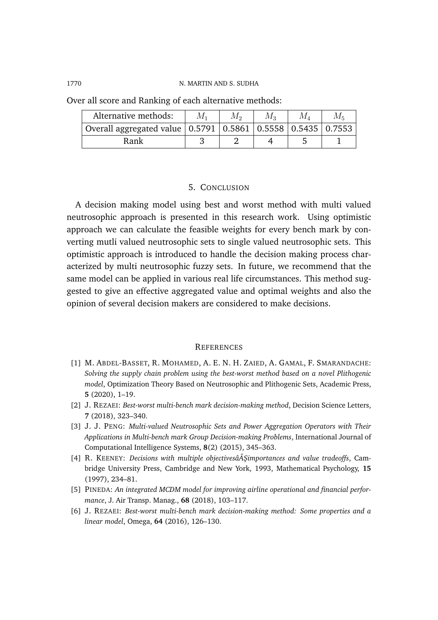| Alternative methods:                                                  | M, | $M_{\rm 3}$ | $M_{5}$ |
|-----------------------------------------------------------------------|----|-------------|---------|
| Overall aggregated value   0.5791   0.5861   0.5558   0.5435   0.7553 |    |             |         |
| Rank                                                                  |    |             |         |

Over all score and Ranking of each alternative methods:

### 5. CONCLUSION

A decision making model using best and worst method with multi valued neutrosophic approach is presented in this research work. Using optimistic approach we can calculate the feasible weights for every bench mark by converting mutli valued neutrosophic sets to single valued neutrosophic sets. This optimistic approach is introduced to handle the decision making process characterized by multi neutrosophic fuzzy sets. In future, we recommend that the same model can be applied in various real life circumstances. This method suggested to give an effective aggregated value and optimal weights and also the opinion of several decision makers are considered to make decisions.

### **REFERENCES**

- [1] M. ABDEL-BASSET, R. MOHAMED, A. E. N. H. ZAIED, A. GAMAL, F. SMARANDACHE: *Solving the supply chain problem using the best-worst method based on a novel Plithogenic model*, Optimization Theory Based on Neutrosophic and Plithogenic Sets, Academic Press, **5** (2020), 1–19.
- [2] J. REZAEI: *Best-worst multi-bench mark decision-making method*, Decision Science Letters, **7** (2018), 323–340.
- [3] J. J. PENG: *Multi-valued Neutrosophic Sets and Power Aggregation Operators with Their Applications in Multi-bench mark Group Decision-making Problems*, International Journal of Computational Intelligence Systems, **8**(2) (2015), 345–363.
- [4] R. KEENEY: *Decisions with multiple objectivesâAŞimportances and value tradeoffs*, Cambridge University Press, Cambridge and New York, 1993, Mathematical Psychology, **15** (1997), 234–81.
- [5] PINEDA: *An integrated MCDM model for improving airline operational and financial performance*, J. Air Transp. Manag., **68** (2018), 103–117.
- [6] J. REZAEI: *Best-worst multi-bench mark decision-making method: Some properties and a linear model*, Omega, **64** (2016), 126–130.